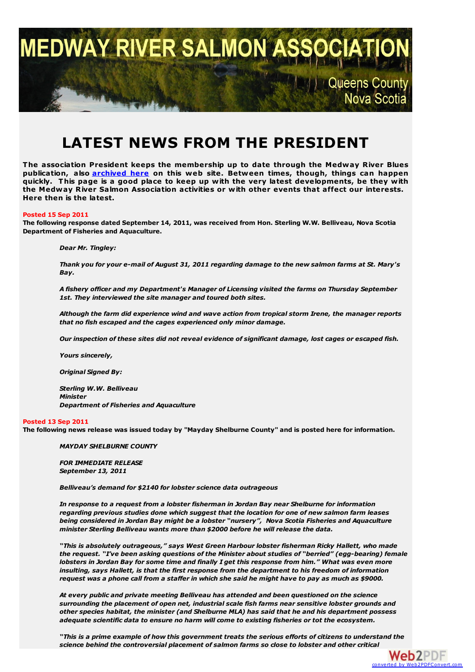

# **LATEST NEWS FROM THE PRESIDENT**

**The association President keeps the membership up to date through the Medway River Blues publication, also [archived](http://medwayriversalmonassociation.org/archives/archives.html) here on this web site. Between times, though, things can happen quickly. This page is a good place to keep up with the very latest developments, be they with the Medway River Salmon Association activities or with other events that affect our interests. Here then is the latest.**

#### **Posted 15 Sep 2011**

**The following response dated September 14, 2011, was received from Hon. Sterling W.W. Belliveau, Nova Scotia Department of Fisheries and Aquaculture.**

*Dear Mr. Tingley:*

Thank you for your e-mail of August 31, 2011 regarding damage to the new salmon farms at St. Mary's *Bay.*

*A fishery officer and my Department's Manager of Licensing visited the farms on Thursday September 1st. They interviewed the site manager and toured both sites.*

*Although the farm did experience wind and wave action from tropical storm Irene, the manager reports that no fish escaped and the cages experienced only minor damage.*

*Our inspection of these sites did not reveal evidence of significant damage, lost cages or escaped fish.*

*Yours sincerely,*

*Original Signed By:*

*Sterling W.W. Belliveau Minister Department of Fisheries and Aquaculture*

#### **Posted 13 Sep 2011**

The following news release was issued today by "Mayday Shelburne County" and is posted here for information.

*MAYDAY SHELBURNE COUNTY*

*FOR IMMEDIATE RELEASE September 13, 2011*

*Belliveau's demand for \$2140 for lobster science data outrageous*

*In response to a request from a lobster fisherman in Jordan Bay near Shelburne for information regarding previous studies done which suggest that the location for one of new salmon farm leases being considered in Jordan Bay might be a lobster "nursery", Nova Scotia Fisheries and Aquaculture minister Sterling Belliveau wants more than \$2000 before he will release the data.*

*"This is absolutely outrageous," says West Green Harbour lobster fisherman Ricky Hallett, who made the request. "I've been asking questions of the Minister about studies of "berried" (egg-bearing) female* lobsters in Jordan Bay for some time and finally I get this response from him." What was even more *insulting, says Hallett, is that the first response from the department to his freedom of information* request was a phone call from a staffer in which she said he might have to pay as much as \$9000.

*At every public and private meeting Belliveau has attended and been questioned on the science surrounding the placement of open net, industrial scale fish farms near sensitive lobster grounds and other species habitat, the minister (and Shelburne MLA) has said that he and his department possess adequate scientific data to ensure no harm will come to existing fisheries or tot the ecosystem.*

"This is a prime example of how this government treats the serious efforts of citizens to understand the *science behind the controversial placement of salmon farms so close to lobster and other critical*

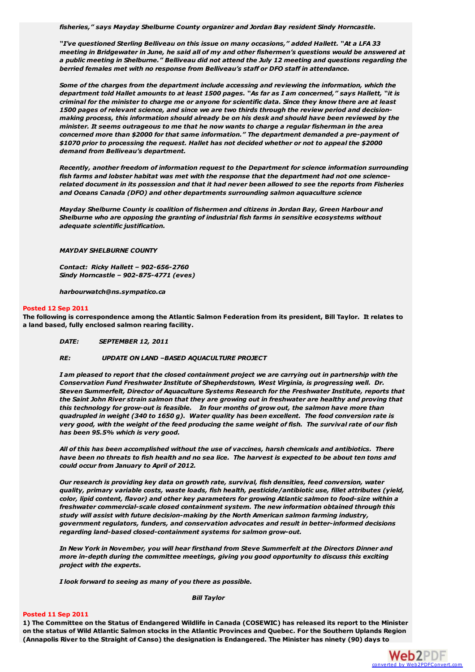*fisheries," says Mayday Shelburne County organizer and Jordan Bay resident Sindy Horncastle.*

*"I've questioned Sterling Belliveau on this issue on many occasions," added Hallett. "At a LFA 33* meeting in Bridgewater in June, he said all of my and other fishermen's questions would be answered at *a public meeting in Shelburne." Belliveau did not attend the July 12 meeting and questions regarding the berried females met with no response from Belliveau's staff or DFO staff in attendance.*

*Some of the charges from the department include accessing and reviewing the information, which the* department told Hallet amounts to at least 1500 pages. "As far as I am concerned," says Hallett, "it is criminal for the minister to charge me or anyone for scientific data. Since they know there are at least *1500 pages of relevant science, and since we are two thirds through the review period and decision making process, this information should already be on his desk and should have been reviewed by the minister. It seems outrageous to me that he now wants to charge a regular fisherman in the area concerned more than \$2000 for that same information." The department demanded a pre-payment of \$1070 prior to processing the request. Hallet has not decided whether or not to appeal the \$2000 demand from Belliveau's department.*

*Recently, another freedom of information request to the Department for science information surrounding fish farms and lobster habitat was met with the response that the department had not one science*related document in its possession and that it had never been allowed to see the reports from Fisheries *and Oceans Canada (DFO) and other departments surrounding salmon aquaculture science*

*Mayday Shelburne County is coalition of fishermen and citizens in Jordan Bay, Green Harbour and Shelburne who are opposing the granting of industrial fish farms in sensitive ecosystems without adequate scientific justification.*

*MAYDAY SHELBURNE COUNTY*

*Contact: Ricky Hallett – 902-656-2760 Sindy Horncastle – 902-875-4771 (eves)*

*harbourwatch@ns.sympatico.ca*

#### **Posted 12 Sep 2011**

The following is correspondence among the Atlantic Salmon Federation from its president, Bill Taylor. It relates to **a land based, fully enclosed salmon rearing facility.**

*DATE: SEPTEMBER 12, 2011*

*RE: UPDATE ON LAND –BASED AQUACULTURE PROJECT*

I am pleased to report that the closed containment project we are carrying out in partnership with the *Conservation Fund Freshwater Institute of Shepherdstown, West Virginia, is progressing well. Dr. Steven Summerfelt, Director of Aquaculture Systems Research for the Freshwater Institute, reports that* the Saint John River strain salmon that they are growing out in freshwater are healthy and proving that *this technology for grow-out is feasible. In four months of grow out, the salmon have more than quadrupled in weight (340 to 1650 g). Water quality has been excellent. The food conversion rate is* very good, with the weight of the feed producing the same weight of fish. The survival rate of our fish *has been 95.5% which is very good.*

*All of this has been accomplished without the use of vaccines, harsh chemicals and antibiotics. There* have been no threats to fish health and no sea lice. The harvest is expected to be about ten tons and *could occur from January to April of 2012.*

*Our research is providing key data on growth rate, survival, fish densities, feed conversion, water quality, primary variable costs, waste loads, fish health, pesticide/antibiotic use, fillet attributes (yield, color, lipid content, flavor) and other key parameters for growing Atlantic salmon to food-size within a freshwater commercial-scale closed containment system. The new information obtained through this study will assist with future decision-making by the North American salmon farming industry, government regulators, funders, and conservation advocates and result in better-informed decisions regarding land-based closed-containment systems for salmon grow-out.*

*In New York in November, you will hear firsthand from Steve Summerfelt at the Directors Dinner and more in-depth during the committee meetings, giving you good opportunity to discuss this exciting project with the experts.*

*I look forward to seeing as many of you there as possible.*

*Bill Taylor*

#### **Posted 11 Sep 2011**

1) The Committee on the Status of Endangered Wildlife in Canada (COSEWIC) has released its report to the Minister on the status of Wild Atlantic Salmon stocks in the Atlantic Provinces and Quebec. For the Southern Uplands Region (Annapolis River to the Straight of Canso) the designation is Endangered. The Minister has ninety (90) days to

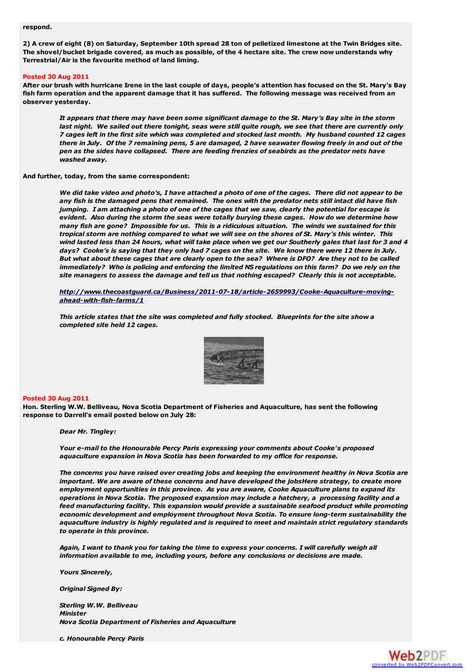#### **respond.**

2) A crew of eight (8) on Saturday, September 10th spread 28 ton of pelletized limestone at the Twin Bridges site. The shovel/bucket brigade covered, as much as possible, of the 4 hectare site. The crew now understands why **Terrestrial/Air is the favourite method of land liming.**

#### **Posted 30 Aug 2011**

After our brush with hurricane Irene in the last couple of days, people's attention has focused on the St. Mary's Bay fish farm operation and the apparent damage that it has suffered. The following message was received from an **observer yesterday.**

It appears that there may have been some significant damage to the St. Mary's Bay site in the storm last night. We sailed out there tonight, seas were still quite rough, we see that there are currently only 7 cages left in the first site which was completed and stocked last month. My husband counted 12 cages there in July. Of the 7 remaining pens, 5 are damaged, 2 have seawater flowing freely in and out of the *pen as the sides have collapsed. There are feeding frenzies of seabirds as the predator nets have washed away.*

#### **And further, today, from the same correspondent:**

We did take video and photo's, I have attached a photo of one of the cages. There did not appear to be any fish is the damaged pens that remained. The ones with the predator nets still intact did have fish jumping. I am attaching a photo of one of the cages that we saw, clearly the potential for escape is *evident. Also during the storm the seas were totally burying these cages. How do we determine how* many fish are gone? Impossible for us. This is a ridiculous situation. The winds we sustained for this tropical storm are nothing compared to what we will see on the shores of St. Mary's this winter. This wind lasted less than 24 hours, what will take place when we get our Southerly gales that last for 3 and 4 days? Cooke's is saying that they only had 7 cages on the site. We know there were 12 there in July. But what about these cages that are clearly open to the sea? Where is DFO? Are they not to be called immediately? Who is policing and enforcing the limited NS regulations on this farm? Do we rely on the *site managers to assess the damage and tell us that nothing escaped? Clearly this is not acceptable.*

*[http://www.thecoastguard.ca/Business/2011-07-18/article-2659993/Cooke-Aquaculture-moving](http://www.thecoastguard.ca/Business/2011-07-18/article-2659993/Cooke-Aquaculture-moving-ahead-with-fish-farms/1)ahead-with-fish-farms/1*

*This article states that the site was completed and fully stocked. Blueprints for the site show a completed site held 12 cages.*



#### **Posted 30 Aug 2011**

**Hon. Sterling W.W. Belliveau, Nova Scotia Department of Fisheries and Aquaculture, has sent the following response to Darrell's email posted below on July 28:**

*Dear Mr. Tingley:*

*Your e-mail to the Honourable Percy Paris expressing your comments about Cooke's proposed aquaculture expansion in Nova Scotia has been forwarded to my office for response.*

*The concerns you have raised over creating jobs and keeping the environment healthy in Nova Scotia are important. We are aware of these concerns and have developed the jobsHere strategy, to create more employment opportunities in this province. As you are aware, Cooke Aquaculture plans to expand its operations in Nova Scotia. The proposed expansion may include a hatchery, a processing facility and a feed manufacturing facility. This expansion would provide a sustainable seafood product while promoting economic development and employment throughout Nova Scotia. To ensure long-term sustainability the aquaculture industry is highly regulated and is required to meet and maintain strict regulatory standards to operate in this province.*

Again, I want to thank you for taking the time to express your concerns. I will carefully weigh all *information available to me, including yours, before any conclusions or decisions are made.*

*Yours Sincerely,*

*Original Signed By:*

*Sterling W.W. Belliveau Minister Nova Scotia Department of Fisheries and Aquaculture*

*c. Honourable Percy Paris*

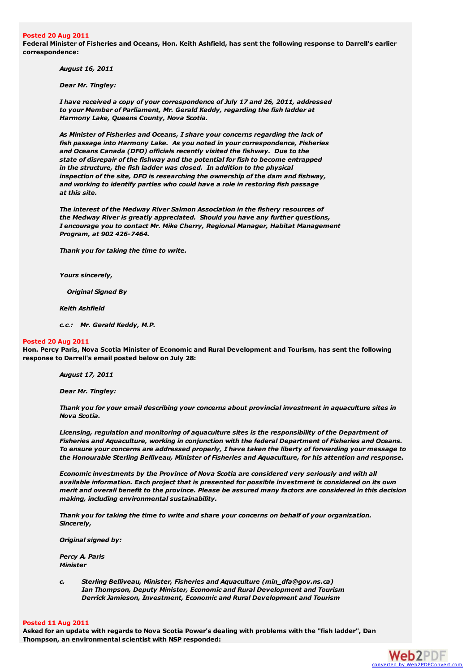#### **Posted 20 Aug 2011**

Federal Minister of Fisheries and Oceans, Hon. Keith Ashfield, has sent the following response to Darrell's earlier **correspondence:**

*August 16, 2011*

*Dear Mr. Tingley:*

*I have received a copy of your correspondence of July 17 and 26, 2011, addressed to your Member of Parliament, Mr. Gerald Keddy, regarding the fish ladder at Harmony Lake, Queens County, Nova Scotia.*

*As Minister of Fisheries and Oceans, I share your concerns regarding the lack of fish passage into Harmony Lake. As you noted in your correspondence, Fisheries and Oceans Canada (DFO) officials recently visited the fishway. Due to the state of disrepair of the fishway and the potential for fish to become entrapped in the structure, the fish ladder was closed. In addition to the physical inspection of the site, DFO is researching the ownership of the dam and fishway, and working to identify parties who could have a role in restoring fish passage at this site.*

*The interest of the Medway River Salmon Association in the fishery resources of the Medway River is greatly appreciated. Should you have any further questions, I encourage you to contact Mr. Mike Cherry, Regional Manager, Habitat Management Program, at 902 426-7464.*

*Thank you for taking the time to write.*

*Yours sincerely,*

*Original Signed By*

*Keith Ashfield*

*c.c.: Mr. Gerald Keddy, M.P.*

#### **Posted 20 Aug 2011**

Hon, Percy Paris, Nova Scotia Minister of Economic and Rural Development and Tourism, has sent the following **response to Darrell's email posted below on July 28:**

*August 17, 2011*

*Dear Mr. Tingley:*

*Thank you for your email describing your concerns about provincial investment in aquaculture sites in Nova Scotia.*

*Licensing, regulation and monitoring of aquaculture sites is the responsibility of the Department of Fisheries and Aquaculture, working in conjunction with the federal Department of Fisheries and Oceans. To ensure your concerns are addressed properly, I have taken the liberty of forwarding your message to the Honourable Sterling Belliveau, Minister of Fisheries and Aquaculture, for his attention and response.*

*Economic investments by the Province of Nova Scotia are considered very seriously and with all available information. Each project that is presented for possible investment is considered on its own merit and overall benefit to the province. Please be assured many factors are considered in this decision making, including environmental sustainability.*

*Thank you for taking the time to write and share your concerns on behalf of your organization. Sincerely,*

*Original signed by:*

*Percy A. Paris Minister*

*c. Sterling Belliveau, Minister, Fisheries and Aquaculture (min\_dfa@gov.ns.ca) Ian Thompson, Deputy Minister, Economic and Rural Development and Tourism Derrick Jamieson, Investment, Economic and Rural Development and Tourism*

#### **Posted 11 Aug 2011**

Asked for an update with regards to Nova Scotia Power's dealing with problems with the "fish ladder", Dan **Thompson, an environmental scientist with NSP responded:**

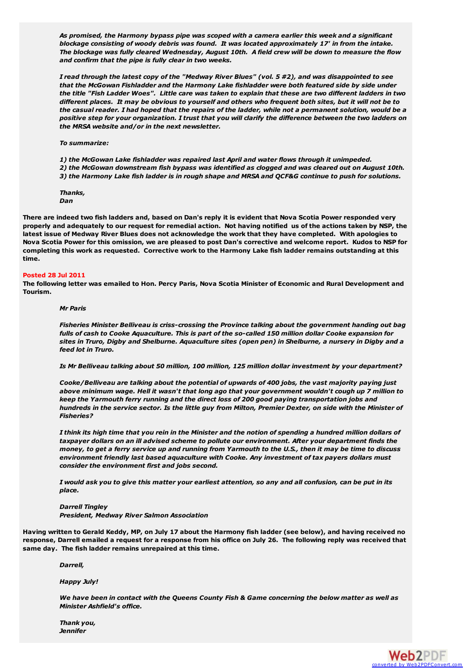*As promised, the Harmony bypass pipe was scoped with a camera earlier this week and a significant blockage consisting of woody debris was found. It was located approximately 17' in from the intake.* The blockage was fully cleared Wednesday, August 10th. A field crew will be down to measure the flow *and confirm that the pipe is fully clear in two weeks.*

I read through the latest copy of the "Medway River Blues" (vol. 5 #2), and was disappointed to see *that the McGowan Fishladder and the Harmony Lake fishladder were both featured side by side under* the title "Fish Ladder Woes". Little care was taken to explain that these are two different ladders in two different places. It may be obvious to yourself and others who frequent both sites, but it will not be to the casual reader. I had hoped that the repairs of the ladder, while not a permanent solution, would be a positive step for your organization. I trust that you will clarify the difference between the two ladders on *the MRSA website and/or in the next newsletter.*

*To summarize:*

*1) the McGowan Lake fishladder was repaired last April and water flows through it unimpeded. 2) the McGowan downstream fish bypass was identified as clogged and was cleared out on August 10th.* 3) the Harmony Lake fish ladder is in rough shape and MRSA and QCF&G continue to push for solutions.

*Thanks, Dan*

There are indeed two fish ladders and, based on Dan's reply it is evident that Nova Scotia Power responded very properly and adequately to our request for remedial action. Not having notified us of the actions taken by NSP, the latest issue of Medway River Blues does not acknowledge the work that they have completed. With apologies to Nova Scotia Power for this omission, we are pleased to post Dan's corrective and welcome report. Kudos to NSP for completing this work as requested. Corrective work to the Harmony Lake fish ladder remains outstanding at this **time.**

#### **Posted 28 Jul 2011**

The following letter was emailed to Hon. Percy Paris, Nova Scotia Minister of Economic and Rural Development and **Tourism.**

#### *Mr Paris*

*Fisheries Minister Belliveau is criss-crossing the Province talking about the government handing out bag* fulls of cash to Cooke Aquaculture. This is part of the so-called 150 million dollar Cooke expansion for sites in Truro, Digby and Shelburne. Aquaculture sites (open pen) in Shelburne, a nursery in Digby and a *feed lot in Truro.*

*Is Mr Belliveau talking about 50 million, 100 million, 125 million dollar investment by your department?*

*Cooke/Belliveau are talking about the potential of upwards of 400 jobs, the vast majority paying just* above minimum wage. Hell it wasn't that long ago that your government wouldn't cough up 7 million to *keep the Yarmouth ferry running and the direct loss of 200 good paying transportation jobs and* hundreds in the service sector. Is the little guy from Milton, Premier Dexter, on side with the Minister of *Fisheries?*

I think its high time that you rein in the Minister and the notion of spending a hundred million dollars of *taxpayer dollars on an ill advised scheme to pollute our environment. After your department finds the* money, to get a ferry service up and running from Yarmouth to the U.S., then it may be time to discuss *environment friendly last based aquaculture with Cooke. Any investment of tax payers dollars must consider the environment first and jobs second.*

I would ask you to give this matter your earliest attention, so any and all confusion, can be put in its *place.*

#### *Darrell Tingley President, Medway River Salmon Association*

Having written to Gerald Keddy, MP, on July 17 about the Harmony fish ladder (see below), and having received no response, Darrell emailed a request for a response from his office on July 26. The following reply was received that **same day. The fish ladder remains unrepaired at this time.**

*Darrell,*

*Happy July!*

We have been in contact with the Queens County Fish & Game concerning the below matter as well as *Minister Ashfield's office.*

*Thank you, Jennifer*

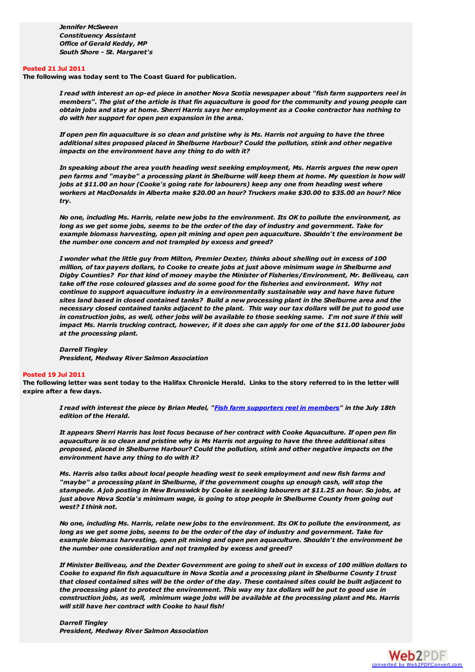*Jennifer McSween Constituency Assistant Office of Gerald Keddy, MP South Shore - St. Margaret's*

#### **Posted 21 Jul 2011**

**The following was today sent to The Coast Guard for publication.**

I read with interest an op-ed piece in another Nova Scotia newspaper about "fish farm supporters reel in members". The gist of the article is that fin aquaculture is good for the community and young people can obtain jobs and stay at home. Sherri Harris says her employment as a Cooke contractor has nothing to *do with her support for open pen expansion in the area.*

If open pen fin aquaculture is so clean and pristine why is Ms. Harris not arguing to have the three *additional sites proposed placed in Shelburne Harbour? Could the pollution, stink and other negative impacts on the environment have any thing to do with it?*

*In speaking about the area youth heading west seeking employment, Ms. Harris argues the new open* pen farms and "maybe" a processing plant in Shelburne will keep them at home. My question is how will *jobs at \$11.00 an hour (Cooke's going rate for labourers) keep any one from heading west where workers at MacDonalds in Alberta make \$20.00 an hour? Truckers make \$30.00 to \$35.00 an hour? Nice try.*

No one, including Ms, Harris, relate new jobs to the environment. Its OK to pollute the environment, as long as we get some jobs, seems to be the order of the day of industry and government. Take for *example biomass harvesting, open pit mining and open pen aquaculture. Shouldn't the environment be the number one concern and not trampled by excess and greed?*

I wonder what the little guy from Milton, Premier Dexter, thinks about shelling out in excess of 100 million, of tax payers dollars, to Cooke to create jobs at just above minimum wage in Shelburne and *Digby Counties? For that kind of money maybe the Minister of Fisheries/Environment, Mr. Belliveau, can take off the rose coloured glasses and do some good for the fisheries and environment. Why not continue to support aquaculture industry in a environmentally sustainable way and have have future* sites land based in closed contained tanks? Build a new processing plant in the Shelburne area and the necessary closed contained tanks adjacent to the plant. This way our tax dollars will be put to good use in construction jobs, as well, other jobs will be available to those seeking same. I'm not sure if this will impact Ms. Harris trucking contract, however, if it does she can apply for one of the \$11.00 labourer jobs *at the processing plant.*

#### *Darrell Tingley*

*President, Medway River Salmon Association*

#### **Posted 19 Jul 2011**

The following letter was sent today to the Halifax Chronicle Herald. Links to the story referred to in the letter will **expire after a few days.**

I read with interest the piece by Brian Medel, "Fish farm [supporters](http://thechronicleherald.ca/NovaScotia/1253826.html) reel in members" in the July 18th *edition of the Herald.*

It appears Sherri Harris has lost focus because of her contract with Cooke Aquaculture. If open pen fin aquaculture is so clean and pristine why is Ms Harris not arguing to have the three additional sites *proposed, placed in Shelburne Harbour? Could the pollution, stink and other negative impacts on the environment have any thing to do with it?*

*Ms. Harris also talks about local people heading west to seek employment and new fish farms and "maybe" a processing plant in Shelburne, if the government coughs up enough cash, will stop the* stampede. A job posting in New Brunswick by Cooke is seeking labourers at \$11.25 an hour. So jobs, at *just above Nova Scotia's minimum wage, is going to stop people in Shelburne County from going out west? I think not.*

No one, including Ms. Harris, relate new jobs to the environment. Its OK to pollute the environment, as long as we get some jobs, seems to be the order of the day of industry and government. Take for *example biomass harvesting, open pit mining and open pen aquaculture. Shouldn't the environment be the number one consideration and not trampled by excess and greed?*

If Minister Belliveau, and the Dexter Government are going to shell out in excess of 100 million dollars to Cooke to expand fin fish aquaculture in Nova Scotia and a processing plant in Shelburne County I trust that closed contained sites will be the order of the day. These contained sites could be built adjacent to the processing plant to protect the environment. This way my tax dollars will be put to good use in *construction jobs, as well, minimum wage jobs will be available at the processing plant and Ms. Harris will still have her contract with Cooke to haul fish!*

*Darrell Tingley President, Medway River Salmon Association*

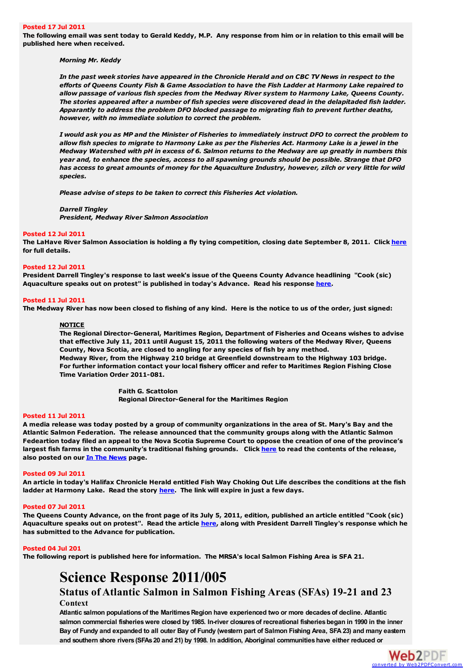#### **Posted 17 Jul 2011**

The following email was sent today to Gerald Keddy, M.P. Any response from him or in relation to this email will be **published here when received.**

#### *Morning Mr. Keddy*

In the past week stories have appeared in the Chronicle Herald and on CBC TV News in respect to the efforts of Queens County Fish & Game Association to have the Fish Ladder at Harmony Lake repaired to *allow passage of various fish species from the Medway River system to Harmony Lake, Queens County. The stories appeared after a number of fish species were discovered dead in the delapitaded fish ladder. Apparantly to address the problem DFO blocked passage to migrating fish to prevent further deaths, however, with no immediate solution to correct the problem.*

I would ask you as MP and the Minister of Fisheries to immediately instruct DFO to correct the problem to allow fish species to migrate to Harmony Lake as per the Fisheries Act. Harmony Lake is a jewel in the Medway Watershed with pH in excess of 6. Salmon returns to the Medway are up greatly in numbers this *year and, to enhance the species, access to all spawning grounds should be possible. Strange that DFO* has access to great amounts of money for the Aquaculture Industry, however, zilch or very little for wild *species.*

*Please advise of steps to be taken to correct this Fisheries Act violation.*

*Darrell Tingley President, Medway River Salmon Association*

#### **Posted 12 Jul 2011**

The LaHave River Salmon Association is holding a fly tying competition, closing date September 8, 2011. Click [here](http://medwayriversalmonassociation.org/presidentsnews/12Jul2011LaHaveFlyTie.pdf) **for full details.**

#### **Posted 12 Jul 2011**

**President Darrell Tingley's response to last week's issue of the Queens County Advance headlining "Cook (sic) Aquaculture speaks out on protest" is published in today's Advance. Read his response [here](http://medwayriversalmonassociation.org/news/Advance12Jul2011.pdf).**

#### **Posted 11 Jul 2011**

The Medway River has now been closed to fishing of any kind. Here is the notice to us of the order, just signed:

#### **NOTICE**

**The Regional Director-General, Maritimes Region, Department of Fisheries and Oceans wishes to advise that effective July 11, 2011 until August 15, 2011 the following waters of the Medway River, Queens County, Nova Scotia, are closed to angling for any species of fish by any method. Medway River, from the Highway 210 bridge at Greenfield downstream to the Highway 103 bridge. For further information contact your local fishery officer and refer to Maritimes Region Fishing Close Time Variation Order 2011-081.**

> **Faith G. Scattolon Regional Director-General for the Maritimes Region**

#### **Posted 11 Jul 2011**

A media release was today posted by a group of community organizations in the area of St. Mary's Bay and the **Atlantic Salmon Federation. The release announced that the community groups along with the Atlantic Salmon** Fedeartion today filed an appeal to the Nova Scotia Supreme Court to oppose the creation of one of the province's largest fish farms in the community's traditional fishing grounds. Click [here](http://medwayriversalmonassociation.org/news/NewsRelease11Jul2011.pdf) to read the contents of the release, **also posted on our In The [News](http://medwayriversalmonassociation.org/news/inthenews.html) page.**

#### **Posted 09 Jul 2011**

An article in today's Halifax Chronicle Herald entitled Fish Way Choking Out Life describes the conditions at the fish **ladder at Harmony Lake. Read the story [here](http://thechronicleherald.ca/NovaScotia/1252564.html). The link will expire in just a few days.**

#### **Posted 07 Jul 2011**

The Queens County Advance, on the front page of its July 5, 2011, edition, published an article entitled "Cook (sic) Aquaculture speaks out on protest". Read the article [here](http://medwayriversalmonassociation.org/news/Advance05Jul2011.pdf), along with President Darrell Tingley's response which he **has submitted to the Advance for publication.**

#### **Posted 04 Jul 201**

**The following report is published here for information. The MRSA's local Salmon Fishing Area is SFA 21.**

## **Science Response 2011/005**

### **Status of Atlantic Salmon in Salmon Fishing Areas (SFAs) 19-21 and 23 Context**

**Atlantic salmon populationsof the MaritimesRegion have experienced two or more decadesof decline. Atlantic salmon commercial fisherieswere closed by 1985. In-river closuresof recreational fisheriesbegan in 1990 in the inner** Bay of Fundy and expanded to all outer Bay of Fundy (western part of Salmon Fishing Area, SFA 23) and many eastern and southern shore rivers (SFAs 20 and 21) by 1998. In addition, Aboriginal communities have either reduced or